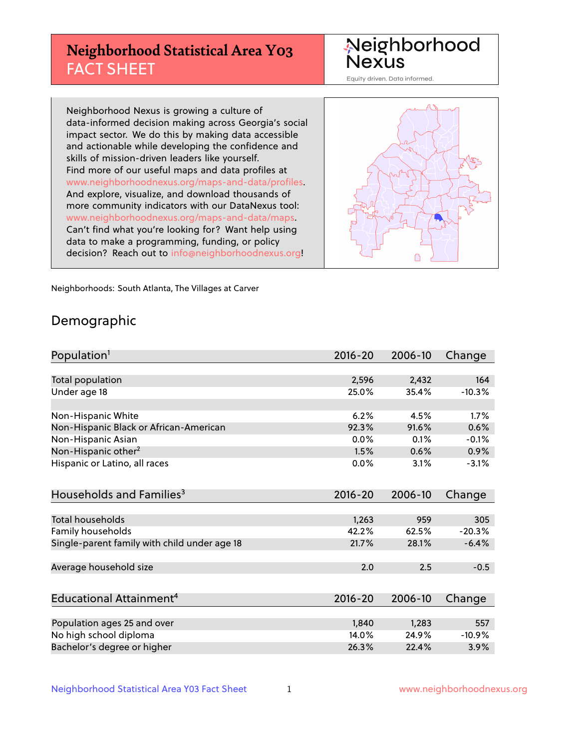# **Neighborhood Statistical Area Y03** FACT SHEET

Neighborhood Nexus

Equity driven. Data informed.

Neighborhood Nexus is growing a culture of data-informed decision making across Georgia's social impact sector. We do this by making data accessible and actionable while developing the confidence and skills of mission-driven leaders like yourself. Find more of our useful maps and data profiles at www.neighborhoodnexus.org/maps-and-data/profiles. And explore, visualize, and download thousands of more community indicators with our DataNexus tool: www.neighborhoodnexus.org/maps-and-data/maps. Can't find what you're looking for? Want help using data to make a programming, funding, or policy decision? Reach out to [info@neighborhoodnexus.org!](mailto:info@neighborhoodnexus.org)



Neighborhoods: South Atlanta, The Villages at Carver

### Demographic

| Population <sup>1</sup>                      | $2016 - 20$ | 2006-10 | Change   |
|----------------------------------------------|-------------|---------|----------|
|                                              |             |         |          |
| Total population                             | 2,596       | 2,432   | 164      |
| Under age 18                                 | 25.0%       | 35.4%   | $-10.3%$ |
|                                              |             |         |          |
| Non-Hispanic White                           | 6.2%        | 4.5%    | 1.7%     |
| Non-Hispanic Black or African-American       | 92.3%       | 91.6%   | 0.6%     |
| Non-Hispanic Asian                           | 0.0%        | 0.1%    | $-0.1%$  |
| Non-Hispanic other <sup>2</sup>              | 1.5%        | 0.6%    | 0.9%     |
| Hispanic or Latino, all races                | 0.0%        | 3.1%    | $-3.1%$  |
|                                              |             |         |          |
| Households and Families <sup>3</sup>         | $2016 - 20$ | 2006-10 | Change   |
|                                              |             |         |          |
| <b>Total households</b>                      | 1,263       | 959     | 305      |
| Family households                            | 42.2%       | 62.5%   | $-20.3%$ |
| Single-parent family with child under age 18 | 21.7%       | 28.1%   | $-6.4%$  |
|                                              |             |         |          |
| Average household size                       | 2.0         | 2.5     | $-0.5$   |
|                                              |             |         |          |
| Educational Attainment <sup>4</sup>          | $2016 - 20$ | 2006-10 | Change   |
|                                              |             |         |          |
| Population ages 25 and over                  | 1,840       | 1,283   | 557      |
| No high school diploma                       | 14.0%       | 24.9%   | $-10.9%$ |
| Bachelor's degree or higher                  | 26.3%       | 22.4%   | 3.9%     |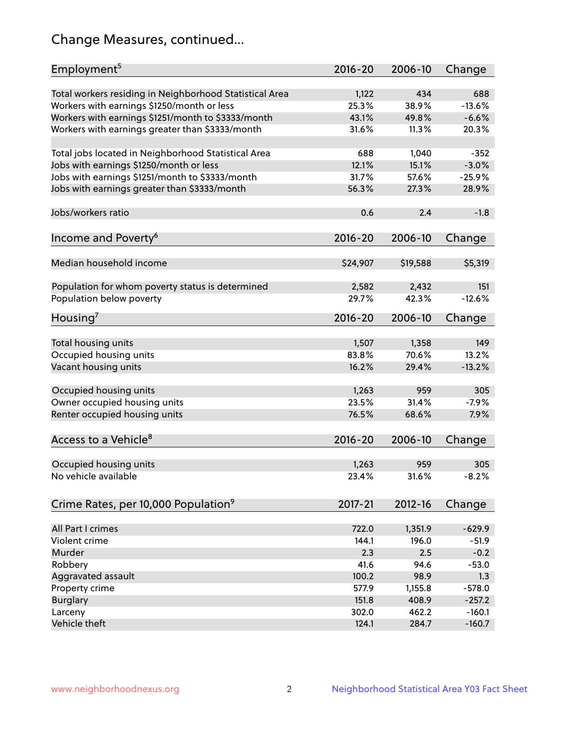# Change Measures, continued...

| Employment <sup>5</sup>                                 | $2016 - 20$    | 2006-10      | Change   |
|---------------------------------------------------------|----------------|--------------|----------|
|                                                         |                |              | 688      |
| Total workers residing in Neighborhood Statistical Area | 1,122<br>25.3% | 434<br>38.9% | $-13.6%$ |
| Workers with earnings \$1250/month or less              | 43.1%          | 49.8%        | $-6.6%$  |
| Workers with earnings \$1251/month to \$3333/month      | 31.6%          | 11.3%        | 20.3%    |
| Workers with earnings greater than \$3333/month         |                |              |          |
| Total jobs located in Neighborhood Statistical Area     | 688            | 1,040        | $-352$   |
| Jobs with earnings \$1250/month or less                 | 12.1%          | 15.1%        | $-3.0%$  |
| Jobs with earnings \$1251/month to \$3333/month         | 31.7%          | 57.6%        | $-25.9%$ |
| Jobs with earnings greater than \$3333/month            | 56.3%          | 27.3%        | 28.9%    |
|                                                         |                |              |          |
| Jobs/workers ratio                                      | 0.6            | 2.4          | $-1.8$   |
|                                                         |                |              |          |
| Income and Poverty <sup>6</sup>                         | 2016-20        | 2006-10      | Change   |
|                                                         |                |              |          |
| Median household income                                 | \$24,907       | \$19,588     | \$5,319  |
|                                                         |                |              |          |
| Population for whom poverty status is determined        | 2,582          | 2,432        | 151      |
| Population below poverty                                | 29.7%          | 42.3%        | $-12.6%$ |
|                                                         |                |              |          |
| Housing'                                                | 2016-20        | 2006-10      | Change   |
|                                                         |                |              |          |
| Total housing units                                     | 1,507          | 1,358        | 149      |
| Occupied housing units                                  | 83.8%          | 70.6%        | 13.2%    |
| Vacant housing units                                    | 16.2%          | 29.4%        | $-13.2%$ |
|                                                         |                |              |          |
| Occupied housing units                                  | 1,263          | 959          | 305      |
| Owner occupied housing units                            | 23.5%          | 31.4%        | $-7.9%$  |
| Renter occupied housing units                           | 76.5%          | 68.6%        | 7.9%     |
|                                                         |                |              |          |
| Access to a Vehicle <sup>8</sup>                        | $2016 - 20$    | 2006-10      | Change   |
|                                                         |                |              |          |
| Occupied housing units                                  | 1,263          | 959          | 305      |
| No vehicle available                                    | 23.4%          | 31.6%        | $-8.2%$  |
|                                                         |                |              |          |
| Crime Rates, per 10,000 Population <sup>9</sup>         | 2017-21        | 2012-16      | Change   |
|                                                         |                |              |          |
| All Part I crimes                                       | 722.0          | 1,351.9      | $-629.9$ |
| Violent crime                                           | 144.1          | 196.0        | $-51.9$  |
| Murder                                                  | 2.3            | 2.5          | $-0.2$   |
| Robbery                                                 | 41.6           | 94.6         | $-53.0$  |
| Aggravated assault                                      | 100.2          | 98.9         | 1.3      |
| Property crime                                          | 577.9          | 1,155.8      | $-578.0$ |
| <b>Burglary</b>                                         | 151.8          | 408.9        | $-257.2$ |
| Larceny                                                 | 302.0          | 462.2        | $-160.1$ |
| Vehicle theft                                           | 124.1          | 284.7        | $-160.7$ |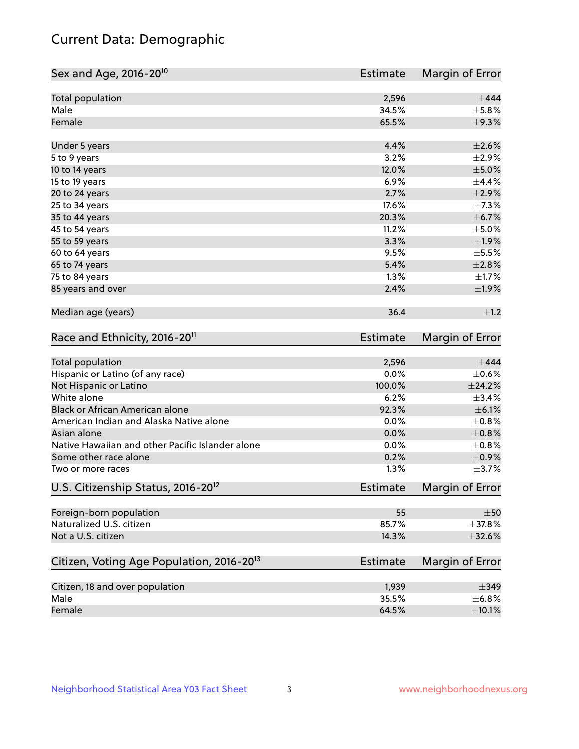# Current Data: Demographic

| Sex and Age, 2016-20 <sup>10</sup>                    | Estimate        | Margin of Error |
|-------------------------------------------------------|-----------------|-----------------|
| Total population                                      | 2,596           | $\pm$ 444       |
| Male                                                  | 34.5%           | $\pm$ 5.8%      |
| Female                                                | 65.5%           | ±9.3%           |
| Under 5 years                                         | 4.4%            | $\pm 2.6\%$     |
| 5 to 9 years                                          | 3.2%            | $\pm 2.9\%$     |
| 10 to 14 years                                        | 12.0%           | $\pm$ 5.0%      |
| 15 to 19 years                                        | 6.9%            | $\pm$ 4.4%      |
| 20 to 24 years                                        | 2.7%            | ±2.9%           |
| 25 to 34 years                                        | 17.6%           | $\pm$ 7.3%      |
| 35 to 44 years                                        | 20.3%           | $\pm$ 6.7%      |
| 45 to 54 years                                        | 11.2%           | $\pm$ 5.0%      |
| 55 to 59 years                                        | 3.3%            | ±1.9%           |
| 60 to 64 years                                        | 9.5%            | $\pm$ 5.5%      |
| 65 to 74 years                                        | 5.4%            | $\pm 2.8\%$     |
| 75 to 84 years                                        | 1.3%            | $\pm 1.7\%$     |
| 85 years and over                                     | 2.4%            | ±1.9%           |
| Median age (years)                                    | 36.4            | $\pm 1.2$       |
| Race and Ethnicity, 2016-20 <sup>11</sup>             | <b>Estimate</b> | Margin of Error |
| Total population                                      | 2,596           | $\pm$ 444       |
| Hispanic or Latino (of any race)                      | 0.0%            | $\pm$ 0.6%      |
| Not Hispanic or Latino                                | 100.0%          | $\pm$ 24.2%     |
| White alone                                           | 6.2%            | ±3.4%           |
| Black or African American alone                       | 92.3%           | $\pm$ 6.1%      |
| American Indian and Alaska Native alone               | 0.0%            | $\pm$ 0.8%      |
| Asian alone                                           | 0.0%            | $\pm$ 0.8%      |
| Native Hawaiian and other Pacific Islander alone      | 0.0%            | $\pm 0.8\%$     |
| Some other race alone                                 | 0.2%            | $\pm$ 0.9%      |
| Two or more races                                     | 1.3%            | $\pm$ 3.7%      |
| U.S. Citizenship Status, 2016-20 <sup>12</sup>        | <b>Estimate</b> | Margin of Error |
| Foreign-born population                               | 55              | $\pm 50$        |
| Naturalized U.S. citizen                              | 85.7%           | ±37.8%          |
| Not a U.S. citizen                                    | 14.3%           | $\pm$ 32.6%     |
| Citizen, Voting Age Population, 2016-20 <sup>13</sup> | Estimate        | Margin of Error |
| Citizen, 18 and over population                       | 1,939           | $\pm$ 349       |
| Male                                                  | 35.5%           | ±6.8%           |
| Female                                                | 64.5%           | $\pm$ 10.1%     |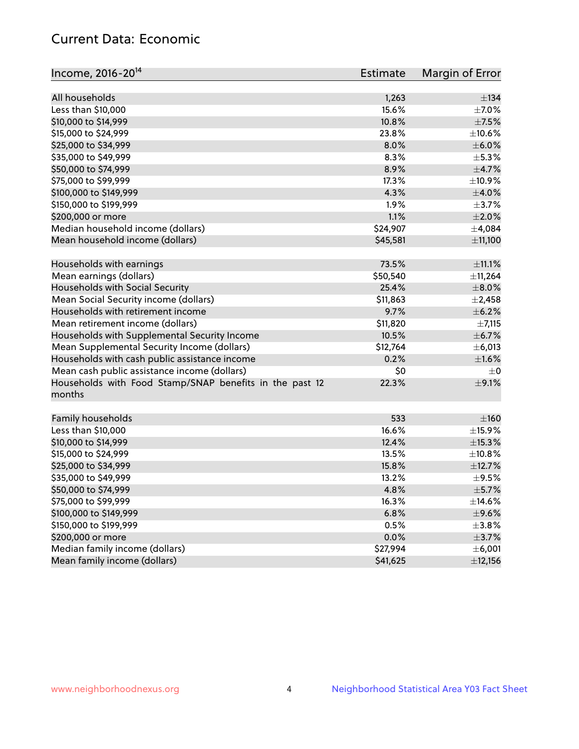# Current Data: Economic

| Income, 2016-20 <sup>14</sup>                           | Estimate | Margin of Error |
|---------------------------------------------------------|----------|-----------------|
|                                                         |          |                 |
| All households                                          | 1,263    | $\pm$ 134       |
| Less than \$10,000                                      | 15.6%    | $\pm$ 7.0%      |
| \$10,000 to \$14,999                                    | 10.8%    | $\pm$ 7.5%      |
| \$15,000 to \$24,999                                    | 23.8%    | ±10.6%          |
| \$25,000 to \$34,999                                    | 8.0%     | $\pm$ 6.0%      |
| \$35,000 to \$49,999                                    | 8.3%     | $\pm$ 5.3%      |
| \$50,000 to \$74,999                                    | 8.9%     | $\pm$ 4.7%      |
| \$75,000 to \$99,999                                    | 17.3%    | ±10.9%          |
| \$100,000 to \$149,999                                  | 4.3%     | $\pm$ 4.0%      |
| \$150,000 to \$199,999                                  | 1.9%     | $\pm$ 3.7%      |
| \$200,000 or more                                       | 1.1%     | $\pm 2.0\%$     |
| Median household income (dollars)                       | \$24,907 | ±4,084          |
| Mean household income (dollars)                         | \$45,581 | ±11,100         |
| Households with earnings                                | 73.5%    | $\pm$ 11.1%     |
| Mean earnings (dollars)                                 | \$50,540 | ±11,264         |
| Households with Social Security                         | 25.4%    | $\pm$ 8.0%      |
| Mean Social Security income (dollars)                   | \$11,863 | $\pm$ 2,458     |
| Households with retirement income                       | 9.7%     | $\pm$ 6.2%      |
| Mean retirement income (dollars)                        | \$11,820 | ±7,115          |
| Households with Supplemental Security Income            | 10.5%    | $\pm$ 6.7%      |
| Mean Supplemental Security Income (dollars)             | \$12,764 | $\pm$ 6,013     |
| Households with cash public assistance income           | 0.2%     | $\pm1.6\%$      |
| Mean cash public assistance income (dollars)            | \$0      | $\pm 0$         |
| Households with Food Stamp/SNAP benefits in the past 12 | 22.3%    | $\pm$ 9.1%      |
| months                                                  |          |                 |
|                                                         |          |                 |
| Family households                                       | 533      | $\pm 160$       |
| Less than \$10,000                                      | 16.6%    | $\pm$ 15.9%     |
| \$10,000 to \$14,999                                    | 12.4%    | $\pm$ 15.3%     |
| \$15,000 to \$24,999                                    | 13.5%    | $\pm$ 10.8%     |
| \$25,000 to \$34,999                                    | 15.8%    | ±12.7%          |
| \$35,000 to \$49,999                                    | 13.2%    | $\pm$ 9.5%      |
| \$50,000 to \$74,999                                    | 4.8%     | $\pm$ 5.7%      |
| \$75,000 to \$99,999                                    | 16.3%    | $\pm$ 14.6%     |
| \$100,000 to \$149,999                                  | 6.8%     | $\pm$ 9.6%      |
| \$150,000 to \$199,999                                  | 0.5%     | $\pm$ 3.8%      |
| \$200,000 or more                                       | 0.0%     | $\pm$ 3.7%      |
| Median family income (dollars)                          | \$27,994 | ±6,001          |
| Mean family income (dollars)                            | \$41,625 | ±12,156         |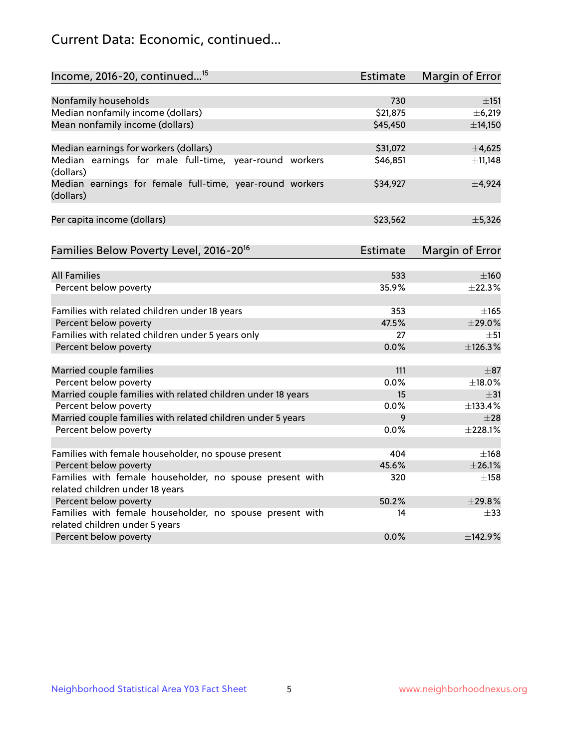# Current Data: Economic, continued...

| Income, 2016-20, continued <sup>15</sup>                                                   | <b>Estimate</b> | Margin of Error        |
|--------------------------------------------------------------------------------------------|-----------------|------------------------|
|                                                                                            |                 |                        |
| Nonfamily households                                                                       | 730<br>\$21,875 | $\pm$ 151              |
| Median nonfamily income (dollars)                                                          |                 | ±6,219                 |
| Mean nonfamily income (dollars)                                                            | \$45,450        | ±14,150                |
| Median earnings for workers (dollars)                                                      | \$31,072        | $\pm$ 4,625            |
| Median earnings for male full-time, year-round workers<br>(dollars)                        | \$46,851        | ±11,148                |
| Median earnings for female full-time, year-round workers<br>(dollars)                      | \$34,927        | ±4,924                 |
| Per capita income (dollars)                                                                | \$23,562        | ±5,326                 |
| Families Below Poverty Level, 2016-20 <sup>16</sup>                                        | <b>Estimate</b> | <b>Margin of Error</b> |
|                                                                                            |                 |                        |
| <b>All Families</b>                                                                        | 533             | $\pm 160$              |
| Percent below poverty                                                                      | 35.9%           | ±22.3%                 |
| Families with related children under 18 years                                              | 353             | $\pm 165$              |
| Percent below poverty                                                                      | 47.5%           | ±29.0%                 |
| Families with related children under 5 years only                                          | 27              | $\pm$ 51               |
| Percent below poverty                                                                      | 0.0%            | ±126.3%                |
| Married couple families                                                                    | 111             | $\pm$ 87               |
| Percent below poverty                                                                      | 0.0%            | ±18.0%                 |
| Married couple families with related children under 18 years                               | 15              | $\pm$ 31               |
| Percent below poverty                                                                      | $0.0\%$         | ±133.4%                |
| Married couple families with related children under 5 years                                | 9               | $\pm 28$               |
| Percent below poverty                                                                      | 0.0%            | ±228.1%                |
|                                                                                            |                 |                        |
| Families with female householder, no spouse present                                        | 404             | $\pm$ 168              |
| Percent below poverty                                                                      | 45.6%           | ±26.1%                 |
| Families with female householder, no spouse present with                                   | 320             | $\pm$ 158              |
| related children under 18 years                                                            |                 |                        |
| Percent below poverty                                                                      | 50.2%           | $+29.8%$               |
| Families with female householder, no spouse present with<br>related children under 5 years | 14              | $\pm$ 33               |
| Percent below poverty                                                                      | 0.0%            | ±142.9%                |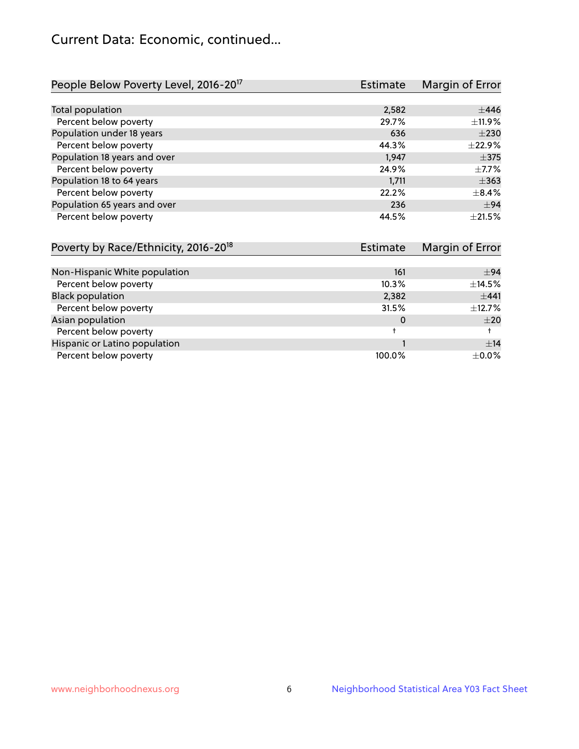# Current Data: Economic, continued...

| People Below Poverty Level, 2016-20 <sup>17</sup> | <b>Estimate</b> | Margin of Error |
|---------------------------------------------------|-----------------|-----------------|
|                                                   |                 |                 |
| Total population                                  | 2,582           | ±446            |
| Percent below poverty                             | 29.7%           | ±11.9%          |
| Population under 18 years                         | 636             | $\pm 230$       |
| Percent below poverty                             | 44.3%           | ±22.9%          |
| Population 18 years and over                      | 1,947           | $\pm$ 375       |
| Percent below poverty                             | 24.9%           | $\pm$ 7.7%      |
| Population 18 to 64 years                         | 1,711           | $\pm$ 363       |
| Percent below poverty                             | 22.2%           | $\pm$ 8.4%      |
| Population 65 years and over                      | 236             | $\pm$ 94        |
| Percent below poverty                             | 44.5%           | $+21.5%$        |

| Poverty by Race/Ethnicity, 2016-20 <sup>18</sup> | Estimate |             |
|--------------------------------------------------|----------|-------------|
|                                                  |          |             |
| Non-Hispanic White population                    | 161      | $\pm$ 94    |
| Percent below poverty                            | 10.3%    | $\pm$ 14.5% |
| <b>Black population</b>                          | 2,382    | $+441$      |
| Percent below poverty                            | 31.5%    | $\pm$ 12.7% |
| Asian population                                 | 0        | $\pm 20$    |
| Percent below poverty                            |          |             |
| Hispanic or Latino population                    |          | ±14         |
| Percent below poverty                            | 100.0%   | $\pm$ 0.0%  |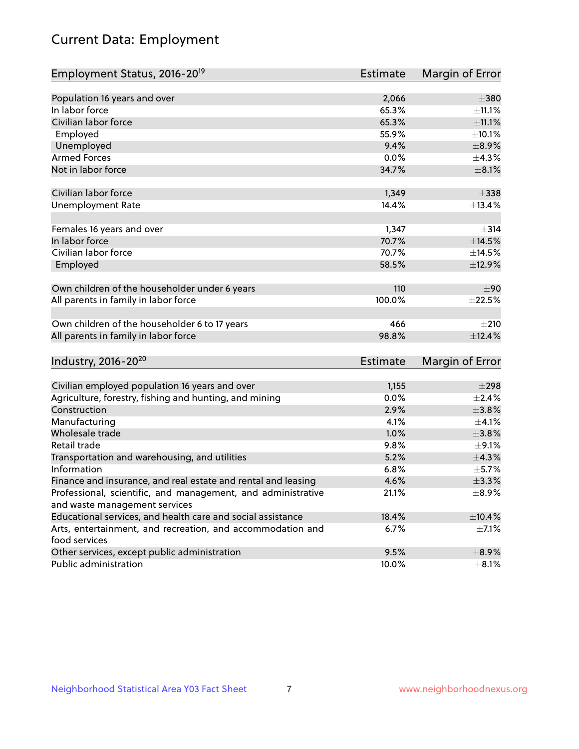# Current Data: Employment

| Employment Status, 2016-20 <sup>19</sup>                      | <b>Estimate</b> | Margin of Error |
|---------------------------------------------------------------|-----------------|-----------------|
|                                                               |                 |                 |
| Population 16 years and over                                  | 2,066           | $\pm 380$       |
| In labor force                                                | 65.3%           | ±11.1%          |
| Civilian labor force                                          | 65.3%           | $\pm$ 11.1%     |
| Employed                                                      | 55.9%           | ±10.1%          |
| Unemployed                                                    | 9.4%            | $\pm$ 8.9%      |
| <b>Armed Forces</b>                                           | 0.0%            | ±4.3%           |
| Not in labor force                                            | 34.7%           | $\pm$ 8.1%      |
| Civilian labor force                                          | 1,349           | $\pm$ 338       |
| <b>Unemployment Rate</b>                                      | 14.4%           | ±13.4%          |
|                                                               |                 |                 |
| Females 16 years and over                                     | 1,347           | $\pm$ 314       |
| In labor force                                                | 70.7%           | ±14.5%          |
| Civilian labor force                                          | 70.7%           | ±14.5%          |
| Employed                                                      | 58.5%           | ±12.9%          |
| Own children of the householder under 6 years                 | 110             | ±90             |
| All parents in family in labor force                          | 100.0%          | $\pm 22.5\%$    |
|                                                               |                 |                 |
| Own children of the householder 6 to 17 years                 | 466             | $+210$          |
| All parents in family in labor force                          | 98.8%           | ±12.4%          |
|                                                               | Estimate        |                 |
| Industry, 2016-20 <sup>20</sup>                               |                 | Margin of Error |
| Civilian employed population 16 years and over                | 1,155           | $\pm 298$       |
| Agriculture, forestry, fishing and hunting, and mining        | 0.0%            | $\pm 2.4\%$     |
| Construction                                                  | 2.9%            | ±3.8%           |
| Manufacturing                                                 | 4.1%            | $\pm$ 4.1%      |
| Wholesale trade                                               | 1.0%            | $\pm$ 3.8%      |
| Retail trade                                                  | 9.8%            | $\pm$ 9.1%      |
| Transportation and warehousing, and utilities                 | 5.2%            | $\pm$ 4.3%      |
| Information                                                   | 6.8%            | $\pm$ 5.7%      |
| Finance and insurance, and real estate and rental and leasing | 4.6%            | ±3.3%           |
| Professional, scientific, and management, and administrative  | 21.1%           | $\pm$ 8.9%      |
| and waste management services                                 |                 |                 |
| Educational services, and health care and social assistance   | 18.4%           | ±10.4%          |
| Arts, entertainment, and recreation, and accommodation and    | 6.7%            | $\pm$ 7.1%      |
| food services                                                 |                 |                 |
| Other services, except public administration                  | 9.5%            | $\pm$ 8.9%      |
| Public administration                                         | 10.0%           | $\pm$ 8.1%      |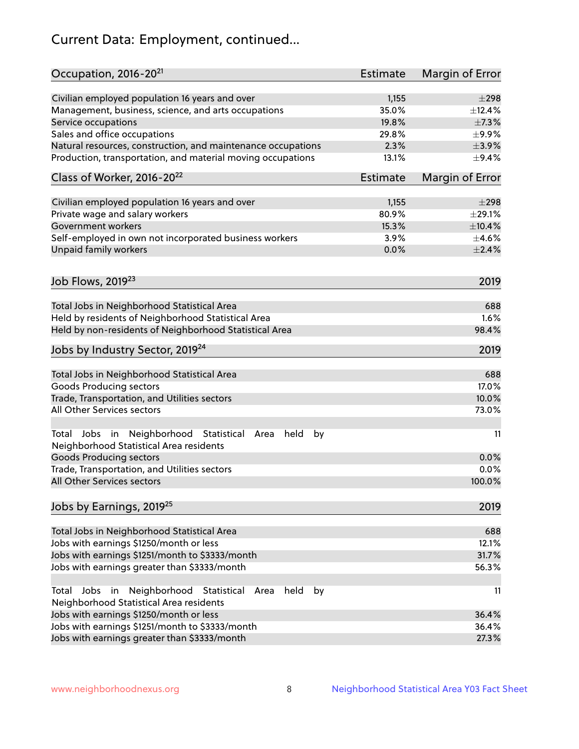# Current Data: Employment, continued...

| Occupation, 2016-20 <sup>21</sup>                                                                                | Estimate | Margin of Error |
|------------------------------------------------------------------------------------------------------------------|----------|-----------------|
| Civilian employed population 16 years and over                                                                   | 1,155    | $\pm 298$       |
| Management, business, science, and arts occupations                                                              | 35.0%    | ±12.4%          |
| Service occupations                                                                                              | 19.8%    | $\pm$ 7.3%      |
| Sales and office occupations                                                                                     | 29.8%    | $\pm$ 9.9%      |
| Natural resources, construction, and maintenance occupations                                                     | 2.3%     | $\pm$ 3.9%      |
| Production, transportation, and material moving occupations                                                      | 13.1%    | $\pm$ 9.4%      |
| Class of Worker, 2016-20 <sup>22</sup>                                                                           | Estimate | Margin of Error |
| Civilian employed population 16 years and over                                                                   | 1,155    | $\pm 298$       |
| Private wage and salary workers                                                                                  | 80.9%    | $\pm 29.1\%$    |
| Government workers                                                                                               | 15.3%    | $\pm$ 10.4%     |
| Self-employed in own not incorporated business workers                                                           | 3.9%     | $\pm 4.6\%$     |
| Unpaid family workers                                                                                            | 0.0%     | $\pm 2.4\%$     |
|                                                                                                                  |          |                 |
| Job Flows, 2019 <sup>23</sup>                                                                                    |          | 2019            |
| Total Jobs in Neighborhood Statistical Area                                                                      |          | 688             |
| Held by residents of Neighborhood Statistical Area                                                               |          | 1.6%            |
| Held by non-residents of Neighborhood Statistical Area                                                           |          | 98.4%           |
| Jobs by Industry Sector, 2019 <sup>24</sup>                                                                      |          | 2019            |
| Total Jobs in Neighborhood Statistical Area                                                                      |          | 688             |
| <b>Goods Producing sectors</b>                                                                                   |          | 17.0%           |
| Trade, Transportation, and Utilities sectors                                                                     |          | 10.0%           |
| All Other Services sectors                                                                                       |          | 73.0%           |
| Total Jobs in Neighborhood Statistical<br>held<br>by<br>Area<br>Neighborhood Statistical Area residents          |          | 11              |
| <b>Goods Producing sectors</b>                                                                                   |          | 0.0%            |
| Trade, Transportation, and Utilities sectors                                                                     |          | 0.0%            |
| All Other Services sectors                                                                                       |          | 100.0%          |
| Jobs by Earnings, 2019 <sup>25</sup>                                                                             |          | 2019            |
| Total Jobs in Neighborhood Statistical Area                                                                      |          | 688             |
| Jobs with earnings \$1250/month or less                                                                          |          | 12.1%           |
| Jobs with earnings \$1251/month to \$3333/month                                                                  |          | 31.7%           |
| Jobs with earnings greater than \$3333/month                                                                     |          | 56.3%           |
| Neighborhood Statistical<br>Jobs<br>in<br>held<br>by<br>Total<br>Area<br>Neighborhood Statistical Area residents |          | 11              |
| Jobs with earnings \$1250/month or less                                                                          |          | 36.4%           |
| Jobs with earnings \$1251/month to \$3333/month                                                                  |          | 36.4%           |
| Jobs with earnings greater than \$3333/month                                                                     |          | 27.3%           |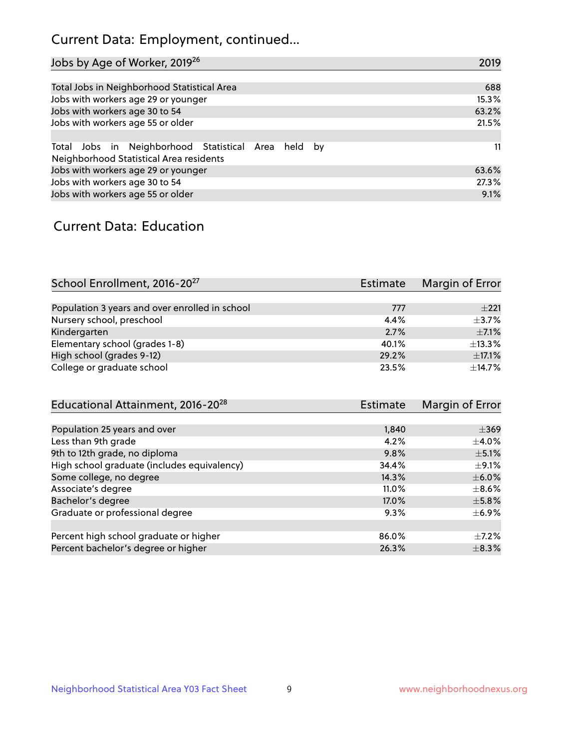# Current Data: Employment, continued...

| Jobs by Age of Worker, 2019 <sup>26</sup>                                                      | 2019  |
|------------------------------------------------------------------------------------------------|-------|
|                                                                                                |       |
| Total Jobs in Neighborhood Statistical Area                                                    | 688   |
| Jobs with workers age 29 or younger                                                            | 15.3% |
| Jobs with workers age 30 to 54                                                                 | 63.2% |
| Jobs with workers age 55 or older                                                              | 21.5% |
|                                                                                                |       |
| Total Jobs in Neighborhood Statistical Area held by<br>Neighborhood Statistical Area residents | 11    |
| Jobs with workers age 29 or younger                                                            | 63.6% |
| Jobs with workers age 30 to 54                                                                 | 27.3% |
| Jobs with workers age 55 or older                                                              | 9.1%  |

### Current Data: Education

| School Enrollment, 2016-20 <sup>27</sup>       | Estimate | Margin of Error |
|------------------------------------------------|----------|-----------------|
|                                                |          |                 |
| Population 3 years and over enrolled in school | 777      | $+221$          |
| Nursery school, preschool                      | 4.4%     | $+3.7%$         |
| Kindergarten                                   | 2.7%     | $\pm$ 7.1%      |
| Elementary school (grades 1-8)                 | 40.1%    | ±13.3%          |
| High school (grades 9-12)                      | 29.2%    | $\pm$ 17.1%     |
| College or graduate school                     | 23.5%    | $\pm$ 14.7%     |

| Educational Attainment, 2016-20 <sup>28</sup> | Estimate | Margin of Error |
|-----------------------------------------------|----------|-----------------|
|                                               |          |                 |
| Population 25 years and over                  | 1,840    | $\pm$ 369       |
| Less than 9th grade                           | 4.2%     | $\pm$ 4.0%      |
| 9th to 12th grade, no diploma                 | 9.8%     | $\pm$ 5.1%      |
| High school graduate (includes equivalency)   | 34.4%    | $\pm$ 9.1%      |
| Some college, no degree                       | 14.3%    | $\pm$ 6.0%      |
| Associate's degree                            | $11.0\%$ | $\pm$ 8.6%      |
| Bachelor's degree                             | 17.0%    | $\pm$ 5.8%      |
| Graduate or professional degree               | 9.3%     | $\pm$ 6.9%      |
|                                               |          |                 |
| Percent high school graduate or higher        | 86.0%    | $\pm$ 7.2%      |
| Percent bachelor's degree or higher           | 26.3%    | $\pm$ 8.3%      |
|                                               |          |                 |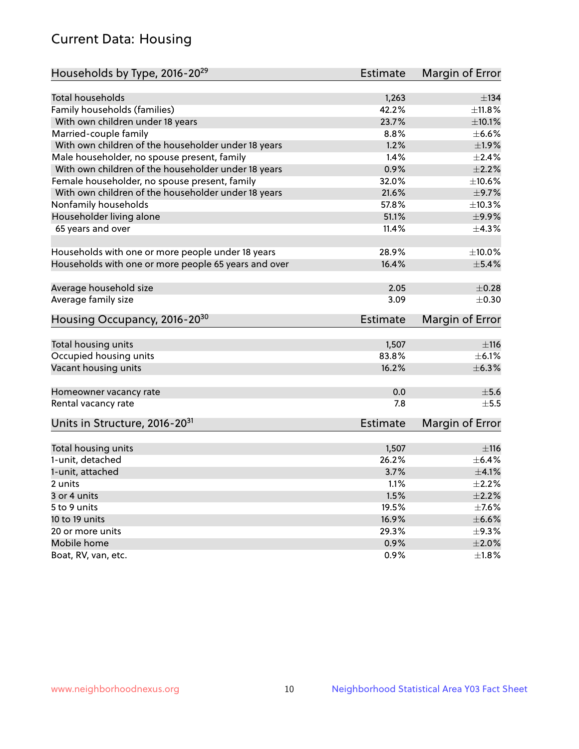# Current Data: Housing

| Households by Type, 2016-20 <sup>29</sup>            | <b>Estimate</b> | Margin of Error |
|------------------------------------------------------|-----------------|-----------------|
|                                                      |                 |                 |
| Total households                                     | 1,263           | $\pm$ 134       |
| Family households (families)                         | 42.2%           | ±11.8%          |
| With own children under 18 years                     | 23.7%           | $\pm 10.1\%$    |
| Married-couple family                                | 8.8%            | $\pm$ 6.6%      |
| With own children of the householder under 18 years  | 1.2%            | ±1.9%           |
| Male householder, no spouse present, family          | 1.4%            | $\pm 2.4\%$     |
| With own children of the householder under 18 years  | 0.9%            | $\pm 2.2\%$     |
| Female householder, no spouse present, family        | 32.0%           | ±10.6%          |
| With own children of the householder under 18 years  | 21.6%           | $\pm$ 9.7%      |
| Nonfamily households                                 | 57.8%           | ±10.3%          |
| Householder living alone                             | 51.1%           | ±9.9%           |
| 65 years and over                                    | 11.4%           | ±4.3%           |
|                                                      |                 |                 |
| Households with one or more people under 18 years    | 28.9%           | $\pm$ 10.0%     |
| Households with one or more people 65 years and over | 16.4%           | $\pm$ 5.4%      |
| Average household size                               | 2.05            | $\pm$ 0.28      |
| Average family size                                  | 3.09            | $\pm$ 0.30      |
| Housing Occupancy, 2016-20 <sup>30</sup>             | <b>Estimate</b> | Margin of Error |
|                                                      |                 |                 |
| Total housing units                                  | 1,507           | ±116            |
| Occupied housing units                               | 83.8%           | $\pm$ 6.1%      |
| Vacant housing units                                 | 16.2%           | ±6.3%           |
| Homeowner vacancy rate                               | 0.0             | $\pm$ 5.6       |
| Rental vacancy rate                                  | 7.8             | $+5.5$          |
| Units in Structure, 2016-20 <sup>31</sup>            | Estimate        | Margin of Error |
|                                                      |                 |                 |
| Total housing units                                  | 1,507           | ±116            |
| 1-unit, detached                                     | 26.2%           | $\pm$ 6.4%      |
| 1-unit, attached                                     | 3.7%            | $\pm 4.1\%$     |
| 2 units                                              | 1.1%            | $\pm 2.2\%$     |
| 3 or 4 units                                         | 1.5%            | $\pm 2.2\%$     |
| 5 to 9 units                                         | 19.5%           | $\pm$ 7.6%      |
| 10 to 19 units                                       | 16.9%           | $\pm$ 6.6%      |
| 20 or more units                                     | 29.3%           | $\pm$ 9.3%      |
| Mobile home                                          | 0.9%            | $\pm 2.0\%$     |
| Boat, RV, van, etc.                                  | 0.9%            | $\pm$ 1.8%      |
|                                                      |                 |                 |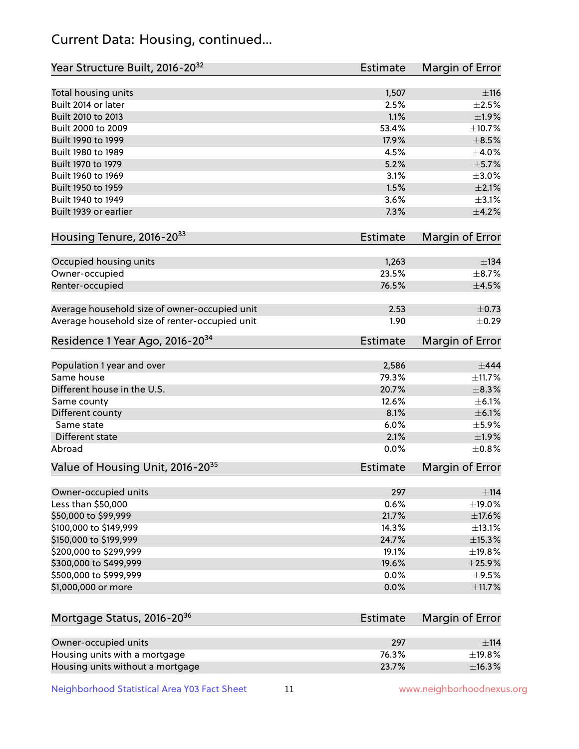# Current Data: Housing, continued...

| Year Structure Built, 2016-20 <sup>32</sup>    | Estimate        | Margin of Error |
|------------------------------------------------|-----------------|-----------------|
| Total housing units                            | 1,507           | ±116            |
| Built 2014 or later                            | 2.5%            | $\pm 2.5\%$     |
| Built 2010 to 2013                             | 1.1%            | ±1.9%           |
| Built 2000 to 2009                             | 53.4%           | ±10.7%          |
| Built 1990 to 1999                             | 17.9%           | $\pm$ 8.5%      |
| Built 1980 to 1989                             | 4.5%            | $\pm$ 4.0%      |
| Built 1970 to 1979                             | 5.2%            | ±5.7%           |
| Built 1960 to 1969                             | 3.1%            | $\pm 3.0\%$     |
| Built 1950 to 1959                             | 1.5%            | $\pm 2.1\%$     |
| Built 1940 to 1949                             | 3.6%            | $\pm$ 3.1%      |
| Built 1939 or earlier                          | 7.3%            | $\pm$ 4.2%      |
| Housing Tenure, 2016-2033                      | <b>Estimate</b> | Margin of Error |
| Occupied housing units                         | 1,263           | $\pm$ 134       |
| Owner-occupied                                 | 23.5%           | $\pm$ 8.7%      |
| Renter-occupied                                | 76.5%           | $\pm$ 4.5%      |
| Average household size of owner-occupied unit  | 2.53            | $\pm$ 0.73      |
| Average household size of renter-occupied unit | 1.90            | $\pm$ 0.29      |
| Residence 1 Year Ago, 2016-20 <sup>34</sup>    | Estimate        | Margin of Error |
| Population 1 year and over                     | 2,586           | $\pm$ 444       |
| Same house                                     | 79.3%           | ±11.7%          |
| Different house in the U.S.                    | 20.7%           | $\pm$ 8.3%      |
| Same county                                    | 12.6%           | $\pm$ 6.1%      |
| Different county                               | 8.1%            | $\pm$ 6.1%      |
| Same state                                     | 6.0%            | $\pm$ 5.9%      |
| Different state                                | 2.1%            | ±1.9%           |
| Abroad                                         | 0.0%            | ±0.8%           |
| Value of Housing Unit, 2016-20 <sup>35</sup>   | <b>Estimate</b> | Margin of Error |
| Owner-occupied units                           | 297             | $\pm$ 114       |
| Less than \$50,000                             | 0.6%            | $\pm$ 19.0%     |
| \$50,000 to \$99,999                           | 21.7%           | ±17.6%          |
| \$100,000 to \$149,999                         | 14.3%           | ±13.1%          |
| \$150,000 to \$199,999                         | 24.7%           | $\pm$ 15.3%     |
| \$200,000 to \$299,999                         | 19.1%           | ±19.8%          |
| \$300,000 to \$499,999                         | 19.6%           | $\pm 25.9\%$    |
| \$500,000 to \$999,999                         | 0.0%            | $\pm$ 9.5%      |
| \$1,000,000 or more                            | 0.0%            | ±11.7%          |
| Mortgage Status, 2016-20 <sup>36</sup>         | <b>Estimate</b> | Margin of Error |
| Owner-occupied units                           | 297             | ±114            |
| Housing units with a mortgage                  | 76.3%           | ±19.8%          |

Neighborhood Statistical Area Y03 Fact Sheet 11 11 www.neighborhoodnexus.org

Housing units without a mortgage  $\pm 16.3\%$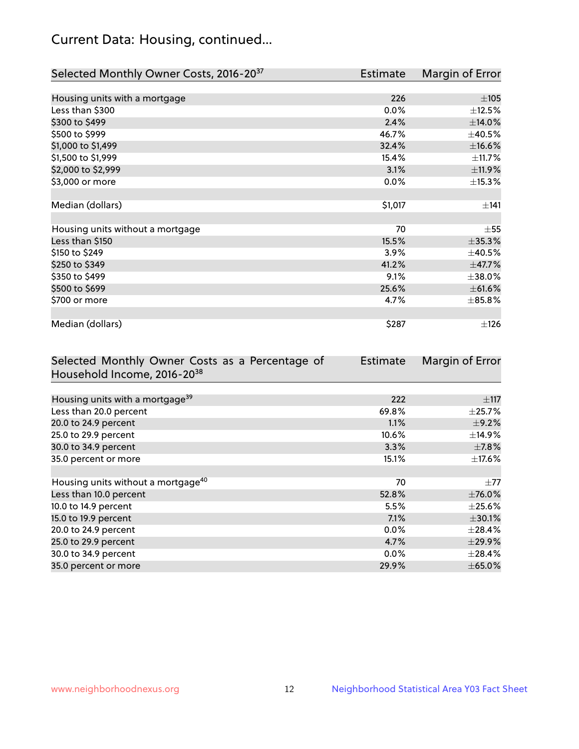# Current Data: Housing, continued...

| Selected Monthly Owner Costs, 2016-20 <sup>37</sup> | <b>Estimate</b> | Margin of Error |
|-----------------------------------------------------|-----------------|-----------------|
|                                                     |                 |                 |
| Housing units with a mortgage                       | 226             | $\pm 105$       |
| Less than \$300                                     | 0.0%            | ±12.5%          |
| \$300 to \$499                                      | 2.4%            | $\pm$ 14.0%     |
| \$500 to \$999                                      | 46.7%           | ±40.5%          |
| \$1,000 to \$1,499                                  | 32.4%           | $\pm$ 16.6%     |
| \$1,500 to \$1,999                                  | 15.4%           | ±11.7%          |
| \$2,000 to \$2,999                                  | 3.1%            | ±11.9%          |
| \$3,000 or more                                     | 0.0%            | ±15.3%          |
|                                                     |                 |                 |
| Median (dollars)                                    | \$1,017         | ±141            |
|                                                     |                 |                 |
| Housing units without a mortgage                    | 70              | $\pm$ 55        |
| Less than \$150                                     | 15.5%           | $\pm$ 35.3%     |
| \$150 to \$249                                      | 3.9%            | $\pm 40.5\%$    |
| \$250 to \$349                                      | 41.2%           | ±47.7%          |
| \$350 to \$499                                      | 9.1%            | ±38.0%          |
| \$500 to \$699                                      | 25.6%           | $\pm$ 61.6%     |
| \$700 or more                                       | 4.7%            | $\pm 85.8\%$    |
|                                                     |                 |                 |
| Median (dollars)                                    | \$287           | $\pm$ 126       |

| Selected Monthly Owner Costs as a Percentage of | <b>Estimate</b> | Margin of Error |
|-------------------------------------------------|-----------------|-----------------|
| Household Income, 2016-20 <sup>38</sup>         |                 |                 |
|                                                 |                 |                 |
| Housing units with a mortgage <sup>39</sup>     | 222             | $\pm$ 117       |
| Less than 20.0 percent                          | 69.8%           | $\pm$ 25.7%     |
| 20.0 to 24.9 percent                            | 1.1%            | $\pm$ 9.2%      |
| 25.0 to 29.9 percent                            | 10.6%           | $\pm$ 14.9%     |
| 30.0 to 34.9 percent                            | 3.3%            | $\pm$ 7.8%      |
| 35.0 percent or more                            | 15.1%           | $\pm$ 17.6%     |
|                                                 |                 |                 |
| Housing units without a mortgage <sup>40</sup>  | 70              | $\pm 77$        |
| Less than 10.0 percent                          | 52.8%           | $\pm$ 76.0%     |
| 10.0 to 14.9 percent                            | 5.5%            | $\pm 25.6\%$    |
| 15.0 to 19.9 percent                            | 7.1%            | $\pm$ 30.1%     |
| 20.0 to 24.9 percent                            | $0.0\%$         | $\pm 28.4\%$    |
| 25.0 to 29.9 percent                            | 4.7%            | ±29.9%          |
| 30.0 to 34.9 percent                            | $0.0\%$         | $\pm$ 28.4%     |
| 35.0 percent or more                            | 29.9%           | $\pm$ 65.0%     |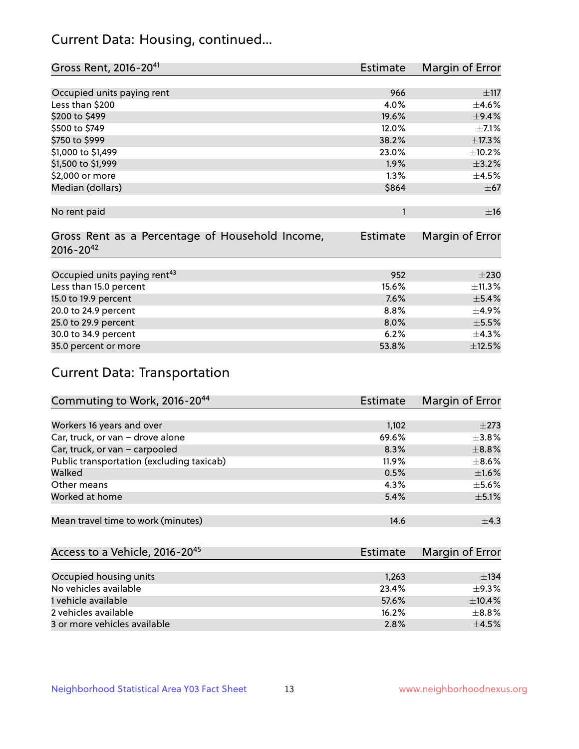# Current Data: Housing, continued...

| Gross Rent, 2016-20 <sup>41</sup>               | <b>Estimate</b> | Margin of Error |
|-------------------------------------------------|-----------------|-----------------|
|                                                 |                 |                 |
| Occupied units paying rent                      | 966             | $\pm$ 117       |
| Less than \$200                                 | 4.0%            | $\pm$ 4.6%      |
| \$200 to \$499                                  | 19.6%           | ±9.4%           |
| \$500 to \$749                                  | 12.0%           | $\pm$ 7.1%      |
| \$750 to \$999                                  | 38.2%           | ±17.3%          |
| \$1,000 to \$1,499                              | 23.0%           | ±10.2%          |
| \$1,500 to \$1,999                              | 1.9%            | $\pm$ 3.2%      |
| \$2,000 or more                                 | 1.3%            | $\pm 4.5\%$     |
| Median (dollars)                                | \$864           | $\pm$ 67        |
|                                                 |                 |                 |
| No rent paid                                    | 1               | ±16             |
|                                                 |                 |                 |
| Gross Rent as a Percentage of Household Income, | <b>Estimate</b> | Margin of Error |
| $2016 - 20^{42}$                                |                 |                 |
|                                                 |                 |                 |
| Occupied units paying rent <sup>43</sup>        | 952             | $\pm 230$       |
| Less than 15.0 percent                          | 15.6%           | ±11.3%          |
| 15.0 to 19.9 percent                            | 7.6%            | $\pm$ 5.4%      |
| 20.0 to 24.9 percent                            | 8.8%            | $\pm$ 4.9%      |
| 25.0 to 29.9 percent                            | 8.0%            | $\pm$ 5.5%      |
| 30.0 to 34.9 percent                            | 6.2%            | $\pm$ 4.3%      |
| 35.0 percent or more                            | 53.8%           | ±12.5%          |

# Current Data: Transportation

| Commuting to Work, 2016-20 <sup>44</sup>  | <b>Estimate</b> | Margin of Error |
|-------------------------------------------|-----------------|-----------------|
|                                           |                 |                 |
| Workers 16 years and over                 | 1,102           | $\pm 273$       |
| Car, truck, or van - drove alone          | 69.6%           | $\pm$ 3.8%      |
| Car, truck, or van - carpooled            | 8.3%            | $\pm$ 8.8%      |
| Public transportation (excluding taxicab) | 11.9%           | $\pm$ 8.6%      |
| Walked                                    | 0.5%            | $\pm1.6\%$      |
| Other means                               | 4.3%            | $\pm$ 5.6%      |
| Worked at home                            | 5.4%            | $\pm$ 5.1%      |
|                                           |                 |                 |
| Mean travel time to work (minutes)        | 14.6            | $\pm$ 4.3       |

| Access to a Vehicle, 2016-20 <sup>45</sup> | Estimate | Margin of Error |
|--------------------------------------------|----------|-----------------|
|                                            |          |                 |
| Occupied housing units                     | 1,263    | ±134            |
| No vehicles available                      | 23.4%    | $+9.3%$         |
| 1 vehicle available                        | 57.6%    | $\pm$ 10.4%     |
| 2 vehicles available                       | 16.2%    | $+8.8%$         |
| 3 or more vehicles available               | 2.8%     | $+4.5%$         |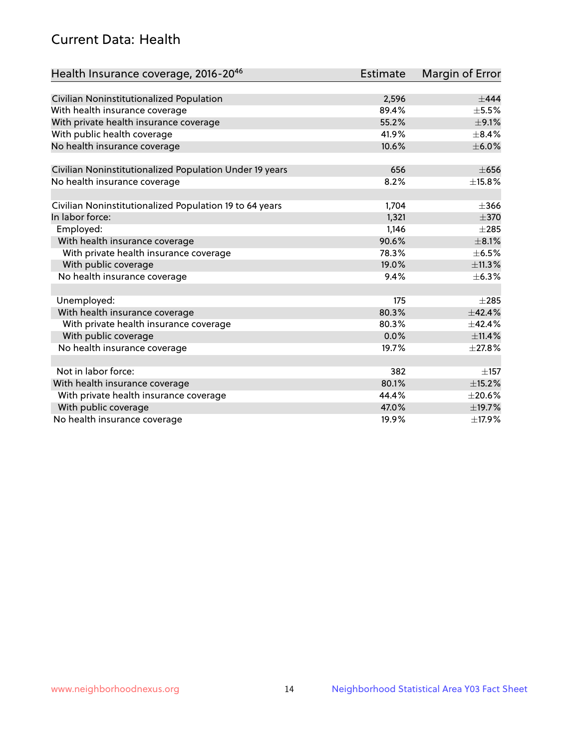# Current Data: Health

| Health Insurance coverage, 2016-2046                    | <b>Estimate</b> | Margin of Error |
|---------------------------------------------------------|-----------------|-----------------|
|                                                         |                 |                 |
| Civilian Noninstitutionalized Population                | 2,596           | $+444$          |
| With health insurance coverage                          | 89.4%           | $\pm$ 5.5%      |
| With private health insurance coverage                  | 55.2%           | $\pm$ 9.1%      |
| With public health coverage                             | 41.9%           | $\pm$ 8.4%      |
| No health insurance coverage                            | 10.6%           | $\pm$ 6.0%      |
| Civilian Noninstitutionalized Population Under 19 years | 656             | $\pm 656$       |
| No health insurance coverage                            | 8.2%            | ±15.8%          |
|                                                         |                 |                 |
| Civilian Noninstitutionalized Population 19 to 64 years | 1,704           | $\pm 366$       |
| In labor force:                                         | 1,321           | $\pm$ 370       |
| Employed:                                               | 1,146           | $\pm 285$       |
| With health insurance coverage                          | 90.6%           | $\pm$ 8.1%      |
| With private health insurance coverage                  | 78.3%           | $\pm$ 6.5%      |
| With public coverage                                    | 19.0%           | ±11.3%          |
| No health insurance coverage                            | 9.4%            | ±6.3%           |
|                                                         |                 |                 |
| Unemployed:                                             | 175             | $\pm 285$       |
| With health insurance coverage                          | 80.3%           | $+42.4%$        |
| With private health insurance coverage                  | 80.3%           | ±42.4%          |
| With public coverage                                    | 0.0%            | $\pm$ 11.4%     |
| No health insurance coverage                            | 19.7%           | ±27.8%          |
|                                                         |                 |                 |
| Not in labor force:                                     | 382             | $\pm$ 157       |
| With health insurance coverage                          | 80.1%           | $\pm$ 15.2%     |
| With private health insurance coverage                  | 44.4%           | $\pm 20.6\%$    |
| With public coverage                                    | 47.0%           | ±19.7%          |
| No health insurance coverage                            | 19.9%           | ±17.9%          |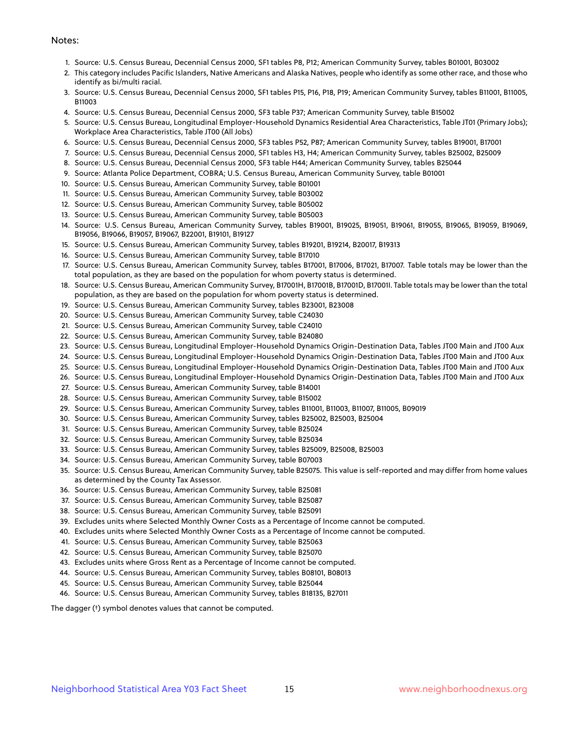#### Notes:

- 1. Source: U.S. Census Bureau, Decennial Census 2000, SF1 tables P8, P12; American Community Survey, tables B01001, B03002
- 2. This category includes Pacific Islanders, Native Americans and Alaska Natives, people who identify as some other race, and those who identify as bi/multi racial.
- 3. Source: U.S. Census Bureau, Decennial Census 2000, SF1 tables P15, P16, P18, P19; American Community Survey, tables B11001, B11005, B11003
- 4. Source: U.S. Census Bureau, Decennial Census 2000, SF3 table P37; American Community Survey, table B15002
- 5. Source: U.S. Census Bureau, Longitudinal Employer-Household Dynamics Residential Area Characteristics, Table JT01 (Primary Jobs); Workplace Area Characteristics, Table JT00 (All Jobs)
- 6. Source: U.S. Census Bureau, Decennial Census 2000, SF3 tables P52, P87; American Community Survey, tables B19001, B17001
- 7. Source: U.S. Census Bureau, Decennial Census 2000, SF1 tables H3, H4; American Community Survey, tables B25002, B25009
- 8. Source: U.S. Census Bureau, Decennial Census 2000, SF3 table H44; American Community Survey, tables B25044
- 9. Source: Atlanta Police Department, COBRA; U.S. Census Bureau, American Community Survey, table B01001
- 10. Source: U.S. Census Bureau, American Community Survey, table B01001
- 11. Source: U.S. Census Bureau, American Community Survey, table B03002
- 12. Source: U.S. Census Bureau, American Community Survey, table B05002
- 13. Source: U.S. Census Bureau, American Community Survey, table B05003
- 14. Source: U.S. Census Bureau, American Community Survey, tables B19001, B19025, B19051, B19061, B19055, B19065, B19059, B19069, B19056, B19066, B19057, B19067, B22001, B19101, B19127
- 15. Source: U.S. Census Bureau, American Community Survey, tables B19201, B19214, B20017, B19313
- 16. Source: U.S. Census Bureau, American Community Survey, table B17010
- 17. Source: U.S. Census Bureau, American Community Survey, tables B17001, B17006, B17021, B17007. Table totals may be lower than the total population, as they are based on the population for whom poverty status is determined.
- 18. Source: U.S. Census Bureau, American Community Survey, B17001H, B17001B, B17001D, B17001I. Table totals may be lower than the total population, as they are based on the population for whom poverty status is determined.
- 19. Source: U.S. Census Bureau, American Community Survey, tables B23001, B23008
- 20. Source: U.S. Census Bureau, American Community Survey, table C24030
- 21. Source: U.S. Census Bureau, American Community Survey, table C24010
- 22. Source: U.S. Census Bureau, American Community Survey, table B24080
- 23. Source: U.S. Census Bureau, Longitudinal Employer-Household Dynamics Origin-Destination Data, Tables JT00 Main and JT00 Aux
- 24. Source: U.S. Census Bureau, Longitudinal Employer-Household Dynamics Origin-Destination Data, Tables JT00 Main and JT00 Aux
- 25. Source: U.S. Census Bureau, Longitudinal Employer-Household Dynamics Origin-Destination Data, Tables JT00 Main and JT00 Aux
- 26. Source: U.S. Census Bureau, Longitudinal Employer-Household Dynamics Origin-Destination Data, Tables JT00 Main and JT00 Aux
- 27. Source: U.S. Census Bureau, American Community Survey, table B14001
- 28. Source: U.S. Census Bureau, American Community Survey, table B15002
- 29. Source: U.S. Census Bureau, American Community Survey, tables B11001, B11003, B11007, B11005, B09019
- 30. Source: U.S. Census Bureau, American Community Survey, tables B25002, B25003, B25004
- 31. Source: U.S. Census Bureau, American Community Survey, table B25024
- 32. Source: U.S. Census Bureau, American Community Survey, table B25034
- 33. Source: U.S. Census Bureau, American Community Survey, tables B25009, B25008, B25003
- 34. Source: U.S. Census Bureau, American Community Survey, table B07003
- 35. Source: U.S. Census Bureau, American Community Survey, table B25075. This value is self-reported and may differ from home values as determined by the County Tax Assessor.
- 36. Source: U.S. Census Bureau, American Community Survey, table B25081
- 37. Source: U.S. Census Bureau, American Community Survey, table B25087
- 38. Source: U.S. Census Bureau, American Community Survey, table B25091
- 39. Excludes units where Selected Monthly Owner Costs as a Percentage of Income cannot be computed.
- 40. Excludes units where Selected Monthly Owner Costs as a Percentage of Income cannot be computed.
- 41. Source: U.S. Census Bureau, American Community Survey, table B25063
- 42. Source: U.S. Census Bureau, American Community Survey, table B25070
- 43. Excludes units where Gross Rent as a Percentage of Income cannot be computed.
- 44. Source: U.S. Census Bureau, American Community Survey, tables B08101, B08013
- 45. Source: U.S. Census Bureau, American Community Survey, table B25044
- 46. Source: U.S. Census Bureau, American Community Survey, tables B18135, B27011

The dagger (†) symbol denotes values that cannot be computed.